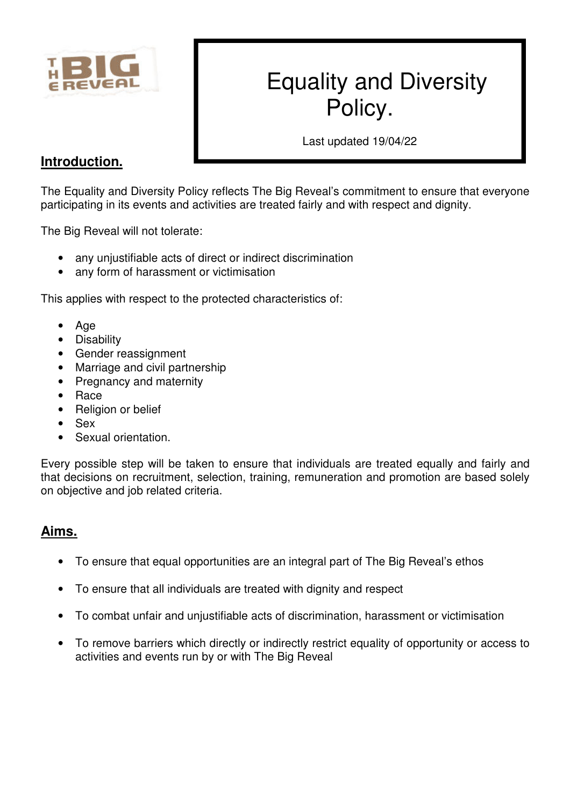

# Equality and Diversity Policy.

Last updated 19/04/22

# **Introduction.**

The Equality and Diversity Policy reflects The Big Reveal's commitment to ensure that everyone participating in its events and activities are treated fairly and with respect and dignity.

The Big Reveal will not tolerate:

- any unjustifiable acts of direct or indirect discrimination
- any form of harassment or victimisation

This applies with respect to the protected characteristics of:

- Age
- Disability
- Gender reassignment
- Marriage and civil partnership
- Pregnancy and maternity
- Race
- Religion or belief
- Sex
- Sexual orientation.

Every possible step will be taken to ensure that individuals are treated equally and fairly and that decisions on recruitment, selection, training, remuneration and promotion are based solely on objective and job related criteria.

## **Aims.**

- To ensure that equal opportunities are an integral part of The Big Reveal's ethos
- To ensure that all individuals are treated with dignity and respect
- To combat unfair and unjustifiable acts of discrimination, harassment or victimisation
- To remove barriers which directly or indirectly restrict equality of opportunity or access to activities and events run by or with The Big Reveal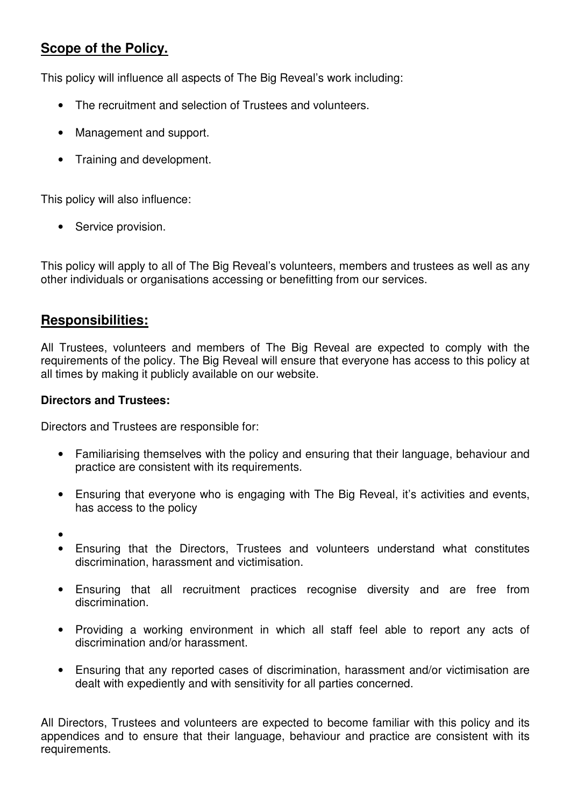# **Scope of the Policy.**

This policy will influence all aspects of The Big Reveal's work including:

- The recruitment and selection of Trustees and volunteers.
- Management and support.
- Training and development.

This policy will also influence:

• Service provision.

This policy will apply to all of The Big Reveal's volunteers, members and trustees as well as any other individuals or organisations accessing or benefitting from our services.

## **Responsibilities:**

All Trustees, volunteers and members of The Big Reveal are expected to comply with the requirements of the policy. The Big Reveal will ensure that everyone has access to this policy at all times by making it publicly available on our website.

#### **Directors and Trustees:**

Directors and Trustees are responsible for:

- Familiarising themselves with the policy and ensuring that their language, behaviour and practice are consistent with its requirements.
- Ensuring that everyone who is engaging with The Big Reveal, it's activities and events, has access to the policy
- •
- Ensuring that the Directors, Trustees and volunteers understand what constitutes discrimination, harassment and victimisation.
- Ensuring that all recruitment practices recognise diversity and are free from discrimination.
- Providing a working environment in which all staff feel able to report any acts of discrimination and/or harassment.
- Ensuring that any reported cases of discrimination, harassment and/or victimisation are dealt with expediently and with sensitivity for all parties concerned.

All Directors, Trustees and volunteers are expected to become familiar with this policy and its appendices and to ensure that their language, behaviour and practice are consistent with its requirements.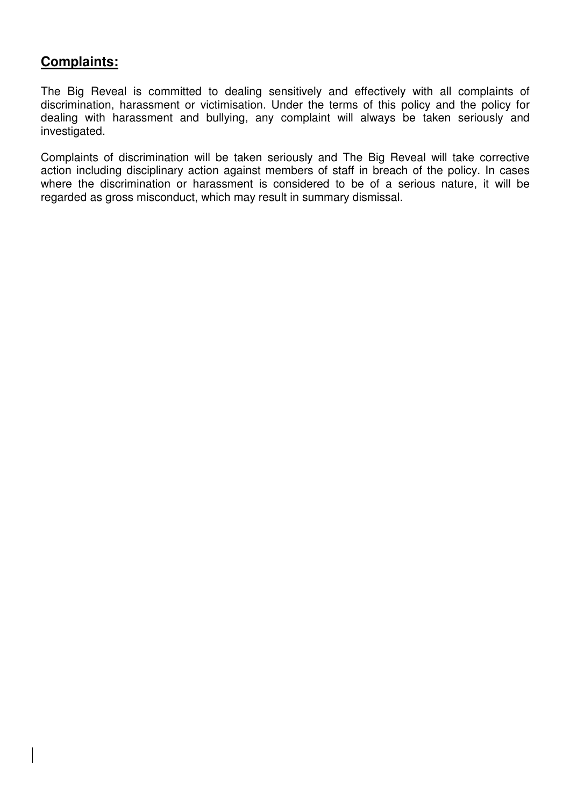# **Complaints:**

The Big Reveal is committed to dealing sensitively and effectively with all complaints of discrimination, harassment or victimisation. Under the terms of this policy and the policy for dealing with harassment and bullying, any complaint will always be taken seriously and investigated.

Complaints of discrimination will be taken seriously and The Big Reveal will take corrective action including disciplinary action against members of staff in breach of the policy. In cases where the discrimination or harassment is considered to be of a serious nature, it will be regarded as gross misconduct, which may result in summary dismissal.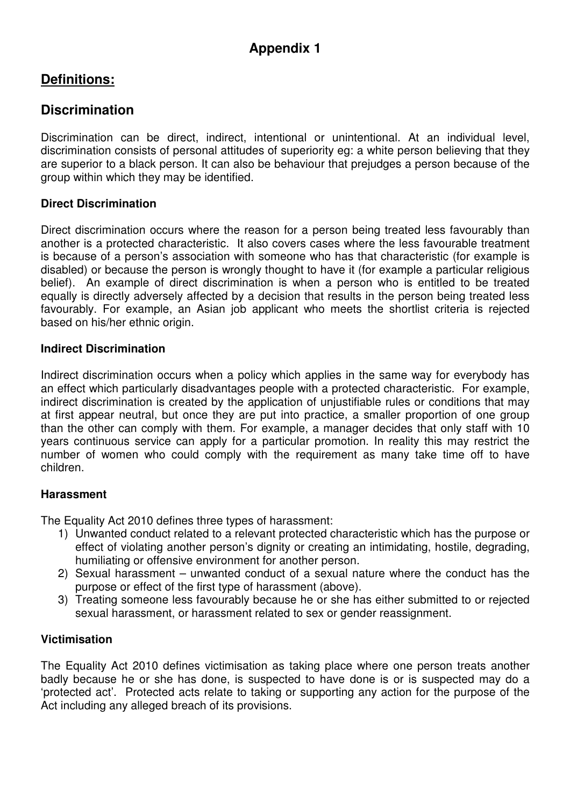# **Definitions:**

# **Discrimination**

Discrimination can be direct, indirect, intentional or unintentional. At an individual level, discrimination consists of personal attitudes of superiority eg: a white person believing that they are superior to a black person. It can also be behaviour that prejudges a person because of the group within which they may be identified.

## **Direct Discrimination**

Direct discrimination occurs where the reason for a person being treated less favourably than another is a protected characteristic. It also covers cases where the less favourable treatment is because of a person's association with someone who has that characteristic (for example is disabled) or because the person is wrongly thought to have it (for example a particular religious belief). An example of direct discrimination is when a person who is entitled to be treated equally is directly adversely affected by a decision that results in the person being treated less favourably. For example, an Asian job applicant who meets the shortlist criteria is rejected based on his/her ethnic origin.

#### **Indirect Discrimination**

Indirect discrimination occurs when a policy which applies in the same way for everybody has an effect which particularly disadvantages people with a protected characteristic. For example, indirect discrimination is created by the application of unjustifiable rules or conditions that may at first appear neutral, but once they are put into practice, a smaller proportion of one group than the other can comply with them. For example, a manager decides that only staff with 10 years continuous service can apply for a particular promotion. In reality this may restrict the number of women who could comply with the requirement as many take time off to have children.

#### **Harassment**

The Equality Act 2010 defines three types of harassment:

- 1) Unwanted conduct related to a relevant protected characteristic which has the purpose or effect of violating another person's dignity or creating an intimidating, hostile, degrading, humiliating or offensive environment for another person.
- 2) Sexual harassment unwanted conduct of a sexual nature where the conduct has the purpose or effect of the first type of harassment (above).
- 3) Treating someone less favourably because he or she has either submitted to or rejected sexual harassment, or harassment related to sex or gender reassignment.

#### **Victimisation**

The Equality Act 2010 defines victimisation as taking place where one person treats another badly because he or she has done, is suspected to have done is or is suspected may do a 'protected act'. Protected acts relate to taking or supporting any action for the purpose of the Act including any alleged breach of its provisions.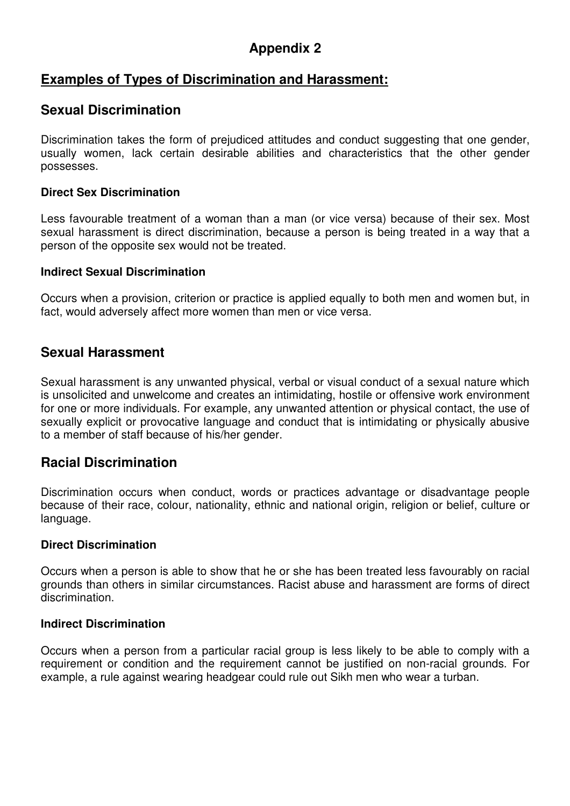# **Appendix 2**

## **Examples of Types of Discrimination and Harassment:**

## **Sexual Discrimination**

Discrimination takes the form of prejudiced attitudes and conduct suggesting that one gender, usually women, lack certain desirable abilities and characteristics that the other gender possesses.

#### **Direct Sex Discrimination**

Less favourable treatment of a woman than a man (or vice versa) because of their sex. Most sexual harassment is direct discrimination, because a person is being treated in a way that a person of the opposite sex would not be treated.

#### **Indirect Sexual Discrimination**

Occurs when a provision, criterion or practice is applied equally to both men and women but, in fact, would adversely affect more women than men or vice versa.

## **Sexual Harassment**

Sexual harassment is any unwanted physical, verbal or visual conduct of a sexual nature which is unsolicited and unwelcome and creates an intimidating, hostile or offensive work environment for one or more individuals. For example, any unwanted attention or physical contact, the use of sexually explicit or provocative language and conduct that is intimidating or physically abusive to a member of staff because of his/her gender.

## **Racial Discrimination**

Discrimination occurs when conduct, words or practices advantage or disadvantage people because of their race, colour, nationality, ethnic and national origin, religion or belief, culture or language.

#### **Direct Discrimination**

Occurs when a person is able to show that he or she has been treated less favourably on racial grounds than others in similar circumstances. Racist abuse and harassment are forms of direct discrimination.

#### **Indirect Discrimination**

Occurs when a person from a particular racial group is less likely to be able to comply with a requirement or condition and the requirement cannot be justified on non-racial grounds. For example, a rule against wearing headgear could rule out Sikh men who wear a turban.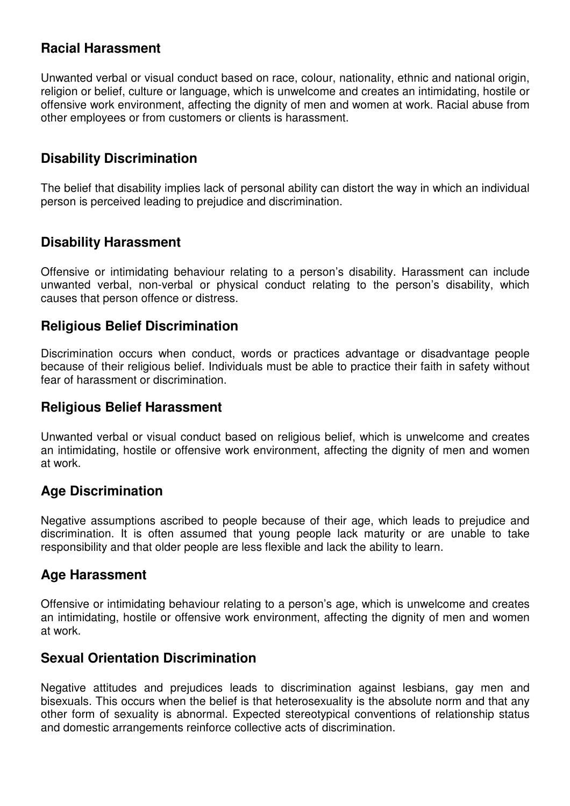# **Racial Harassment**

Unwanted verbal or visual conduct based on race, colour, nationality, ethnic and national origin, religion or belief, culture or language, which is unwelcome and creates an intimidating, hostile or offensive work environment, affecting the dignity of men and women at work. Racial abuse from other employees or from customers or clients is harassment.

## **Disability Discrimination**

The belief that disability implies lack of personal ability can distort the way in which an individual person is perceived leading to prejudice and discrimination.

## **Disability Harassment**

Offensive or intimidating behaviour relating to a person's disability. Harassment can include unwanted verbal, non-verbal or physical conduct relating to the person's disability, which causes that person offence or distress.

## **Religious Belief Discrimination**

Discrimination occurs when conduct, words or practices advantage or disadvantage people because of their religious belief. Individuals must be able to practice their faith in safety without fear of harassment or discrimination.

## **Religious Belief Harassment**

Unwanted verbal or visual conduct based on religious belief, which is unwelcome and creates an intimidating, hostile or offensive work environment, affecting the dignity of men and women at work.

## **Age Discrimination**

Negative assumptions ascribed to people because of their age, which leads to prejudice and discrimination. It is often assumed that young people lack maturity or are unable to take responsibility and that older people are less flexible and lack the ability to learn.

## **Age Harassment**

Offensive or intimidating behaviour relating to a person's age, which is unwelcome and creates an intimidating, hostile or offensive work environment, affecting the dignity of men and women at work.

## **Sexual Orientation Discrimination**

Negative attitudes and prejudices leads to discrimination against lesbians, gay men and bisexuals. This occurs when the belief is that heterosexuality is the absolute norm and that any other form of sexuality is abnormal. Expected stereotypical conventions of relationship status and domestic arrangements reinforce collective acts of discrimination.